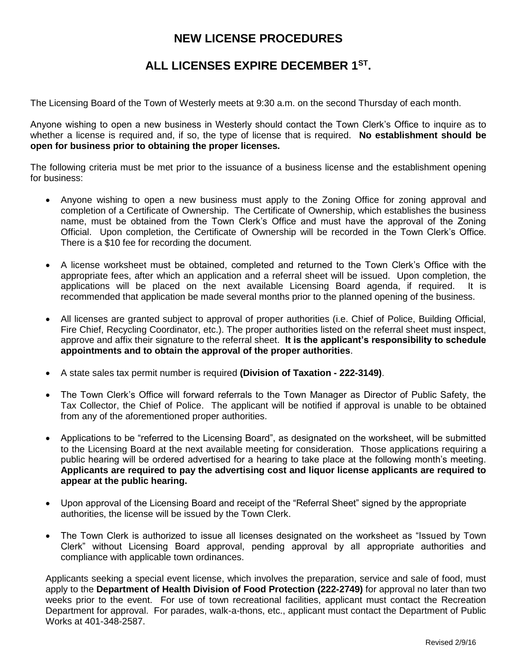## **NEW LICENSE PROCEDURES**

## **ALL LICENSES EXPIRE DECEMBER 1ST .**

The Licensing Board of the Town of Westerly meets at 9:30 a.m. on the second Thursday of each month.

Anyone wishing to open a new business in Westerly should contact the Town Clerk's Office to inquire as to whether a license is required and, if so, the type of license that is required. **No establishment should be open for business prior to obtaining the proper licenses.**

The following criteria must be met prior to the issuance of a business license and the establishment opening for business:

- Anyone wishing to open a new business must apply to the Zoning Office for zoning approval and completion of a Certificate of Ownership. The Certificate of Ownership, which establishes the business name, must be obtained from the Town Clerk's Office and must have the approval of the Zoning Official. Upon completion, the Certificate of Ownership will be recorded in the Town Clerk's Office. There is a \$10 fee for recording the document.
- A license worksheet must be obtained, completed and returned to the Town Clerk's Office with the appropriate fees, after which an application and a referral sheet will be issued. Upon completion, the applications will be placed on the next available Licensing Board agenda, if required. It is recommended that application be made several months prior to the planned opening of the business.
- All licenses are granted subject to approval of proper authorities (i.e. Chief of Police, Building Official, Fire Chief, Recycling Coordinator, etc.). The proper authorities listed on the referral sheet must inspect, approve and affix their signature to the referral sheet. **It is the applicant's responsibility to schedule appointments and to obtain the approval of the proper authorities**.
- A state sales tax permit number is required **(Division of Taxation - 222-3149)**.
- The Town Clerk's Office will forward referrals to the Town Manager as Director of Public Safety, the Tax Collector, the Chief of Police. The applicant will be notified if approval is unable to be obtained from any of the aforementioned proper authorities.
- Applications to be "referred to the Licensing Board", as designated on the worksheet, will be submitted to the Licensing Board at the next available meeting for consideration. Those applications requiring a public hearing will be ordered advertised for a hearing to take place at the following month's meeting. **Applicants are required to pay the advertising cost and liquor license applicants are required to appear at the public hearing.**
- Upon approval of the Licensing Board and receipt of the "Referral Sheet" signed by the appropriate authorities, the license will be issued by the Town Clerk.
- The Town Clerk is authorized to issue all licenses designated on the worksheet as "Issued by Town Clerk" without Licensing Board approval, pending approval by all appropriate authorities and compliance with applicable town ordinances.

Applicants seeking a special event license, which involves the preparation, service and sale of food, must apply to the **Department of Health Division of Food Protection (222-2749)** for approval no later than two weeks prior to the event. For use of town recreational facilities, applicant must contact the Recreation Department for approval. For parades, walk-a-thons, etc., applicant must contact the Department of Public Works at 401-348-2587.